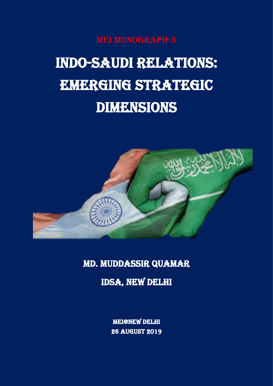MEI Monograph-3

# Indo-Saudi Relations: **EMERGING STRATEGIC DIMENSIONS**



Md. Muddassir Quamar

IDSA, New Delhi

MEI@New Delhi 26 August 2019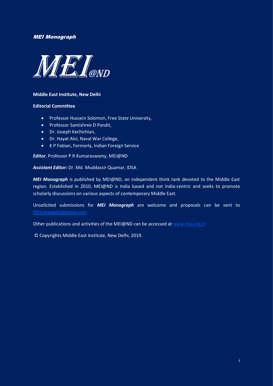#### MEI Monograph



#### **Middle East Institute, New Delhi**

#### **Editorial Committee**

- Professor Hussein Solomon, Free State University,
- Professor Santishree D Pandit,
- Dr. Joseph Kechichian,
- Dr. Hayat Alvi, Naval War College,
- K P Fabian, Formerly, Indian Foreign Service

*Editor*, Professor P R Kumaraswamy, MEI@ND

#### *Assistant Editor:* Dr. Md. Muddassir Quamar, IDSA

*MEI Monograph* is published by MEI@ND, an independent think tank devoted to the Middle East region. Established in 2010, MEI@ND is India based and not India-centric and seeks to promote scholarly discussions on various aspects of contemporary Middle East.

Unsolicited submissions for *MEI Monograph* are welcome and proposals can be sent to [MEI.newdelhi@gmail.com](mailto:MEI.newdelhi@gmail.com)

Other publications and activities of the MEI@ND can be accessed at [www.mei.org.in](http://www.mei.org.in/)

© Copyrights Middle East Institute, New Delhi, 2019.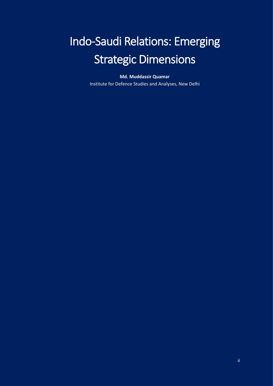# Indo-Saudi Relations: Emerging Strategic Dimensions

**Md. Muddassir Quamar**

Institute for Defence Studies and Analyses, New Delhi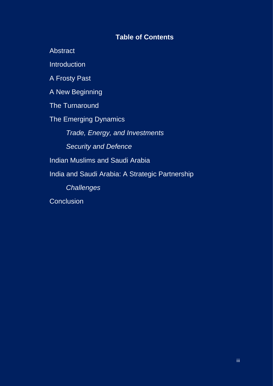# **Table of Contents**

**Abstract** 

**Introduction** 

A Frosty Past

A New Beginning

The Turnaround

The Emerging Dynamics

Trade, Energy, and Investments

Security and Defence

Indian Muslims and Saudi Arabia

India and Saudi Arabia: A Strategic Partnership

**Challenges** 

**Conclusion**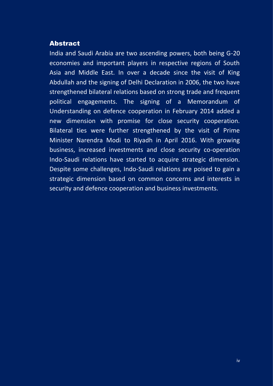#### Abstract

India and Saudi Arabia are two ascending powers, both being G-20 economies and important players in respective regions of South Asia and Middle East. In over a decade since the visit of King Abdullah and the signing of Delhi Declaration in 2006, the two have strengthened bilateral relations based on strong trade and frequent political engagements. The signing of a Memorandum of Understanding on defence cooperation in February 2014 added a new dimension with promise for close security cooperation. Bilateral ties were further strengthened by the visit of Prime Minister Narendra Modi to Riyadh in April 2016. With growing business, increased investments and close security co-operation Indo-Saudi relations have started to acquire strategic dimension. Despite some challenges, Indo-Saudi relations are poised to gain a strategic dimension based on common concerns and interests in security and defence cooperation and business investments.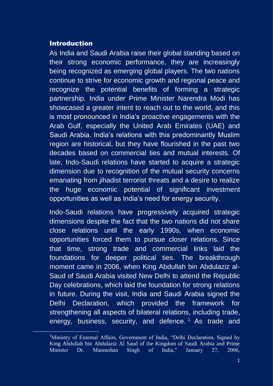### Introduction

As India and Saudi Arabia raise their global standing based on their strong economic performance, they are increasingly being recognized as emerging global players. The two nations continue to strive for economic growth and regional peace and recognize the potential benefits of forming a strategic partnership. India under Prime Minister Narendra Modi has showcased a greater intent to reach out to the world, and this is most pronounced in India's proactive engagements with the Arab Gulf, especially the United Arab Emirates (UAE) and Saudi Arabia. India's relations with this predominantly Muslim region are historical, but they have flourished in the past two decades based on commercial ties and mutual interests. Of late, Indo-Saudi relations have started to acquire a strategic dimension due to recognition of the mutual security concerns emanating from jihadist terrorist threats and a desire to realize the huge economic potential of significant investment opportunities as well as India's need for energy security.

Indo-Saudi relations have progressively acquired strategic dimensions despite the fact that the two nations did not share close relations until the early 1990s, when economic opportunities forced them to pursue closer relations. Since that time, strong trade and commercial links laid the foundations for deeper political ties. The breakthrough moment came in 2006, when King Abdullah bin Abdulaziz al-Saud of Saudi Arabia visited New Delhi to attend the Republic Day celebrations, which laid the foundation for strong relations in future. During the visit, India and Saudi Arabia signed the Delhi Declaration, which provided the framework for strengthening all aspects of bilateral relations, including trade, energy, business, security, and defence.<sup>1</sup> As trade and

<sup>&</sup>lt;sup>1</sup>Ministry of External Affairs, Government of India, "Delhi Declaration, Signed by King Abdullah bin Abdulaziz Al Saud of the Kingdom of Saudi Arabia and Prime Minister Dr. Manmohan Singh of India," January 27, 2006,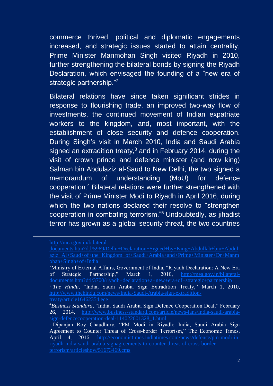commerce thrived, political and diplomatic engagements increased, and strategic issues started to attain centrality, Prime Minister Manmohan Singh visited Riyadh in 2010, further strengthening the bilateral bonds by signing the Riyadh Declaration, which envisaged the founding of a "new era of strategic partnership."<sup>2</sup>

Bilateral relations have since taken significant strides in response to flourishing trade, an improved two-way flow of investments, the continued movement of Indian expatriate workers to the kingdom, and, most important, with the establishment of close security and defence cooperation. During Singh's visit in March 2010, India and Saudi Arabia signed an extradition treaty,<sup>3</sup> and in February 2014, during the visit of crown prince and defence minister (and now king) Salman bin Abdulaziz al-Saud to New Delhi, the two signed a memorandum of understanding (MoU) for defence cooperation.<sup>4</sup> Bilateral relations were further strengthened with the visit of Prime Minister Modi to Riyadh in April 2016, during which the two nations declared their resolve to "strengthen cooperation in combating terrorism."<sup>5</sup> Undoubtedly, as jihadist terror has grown as a global security threat, the two countries

[treaty/article16462354.ece](http://www.thehindu.com/news/India-Saudi-Arabia-sign-extradition-treaty/article16462354.ece)

[http://mea.gov.in/bilateral-](http://mea.gov.in/bilateral-documents.htm?dtl/5969/Delhi+Declaration+Signed+by+King+Abdullah+bin+Abdulaziz+Al+Saud+of+the+Kingdom+of+Saudi+Arabia+and+Prime+Minister+Dr+Manmohan+Singh+of+India)

[documents.htm?dtl/5969/Delhi+Declaration+Signed+by+King+Abdullah+bin+Abdul](http://mea.gov.in/bilateral-documents.htm?dtl/5969/Delhi+Declaration+Signed+by+King+Abdullah+bin+Abdulaziz+Al+Saud+of+the+Kingdom+of+Saudi+Arabia+and+Prime+Minister+Dr+Manmohan+Singh+of+India) [ohan+Singh+of+India](http://mea.gov.in/bilateral-documents.htm?dtl/5969/Delhi+Declaration+Signed+by+King+Abdullah+bin+Abdulaziz+Al+Saud+of+the+Kingdom+of+Saudi+Arabia+and+Prime+Minister+Dr+Manmohan+Singh+of+India)

<sup>&</sup>lt;sup>2</sup>Ministry of External Affairs, Government of India, "Riyadh Declaration: A New Era of Strategic Partnership," March 1, 2010, [http://mea.gov.in/bilateral](http://mea.gov.in/bilateral-documents.htm?dtl/3700/riyadh+declaration+a+new+era+of+strategic+partnership)[documents.htm?dtl/3700/riyadh+declaration+a+new+era+of+strategic+partnership](http://mea.gov.in/bilateral-documents.htm?dtl/3700/riyadh+declaration+a+new+era+of+strategic+partnership) <sup>3</sup> The Hindu, "India, Saudi Arabia Sign Extradition Treaty," March 1, 2010, [http://www.thehindu.com/news/India-Saudi-Arabia-sign-extradition-](http://www.thehindu.com/news/India-Saudi-Arabia-sign-extradition-treaty/article16462354.ece)

<sup>4</sup>*Business Standard*, "India, Saudi Arabia Sign Defence Cooperation Deal," February 26, 2014, [http://www.business-standard.com/article/news-ians/india-saudi-arabia](http://www.business-standard.com/article/news-ians/india-saudi-arabia-sign-defencecooperation-deal-114022601328_1.html)[sign-defencecooperation-deal-114022601328\\_1.html](http://www.business-standard.com/article/news-ians/india-saudi-arabia-sign-defencecooperation-deal-114022601328_1.html)

<sup>&</sup>lt;sup>5</sup> Dipanjan Roy Chaudhury, "PM Modi in Riyadh: India, Saudi Arabia Sign Agreement to Counter Threat of Cross-border Terrorism," The Economic Times, April 4, 2016, [http://economictimes.indiatimes.com/news/defence/pm-modi-in](http://economictimes.indiatimes.com/news/defence/pm-modi-in-riyadh-india-saudi-arabia-signagreements-to-counter-threat-of-cross-border-terrorism/articleshow/51673469.cms)[riyadh-india-saudi-arabia-signagreements-to-counter-threat-of-cross-border](http://economictimes.indiatimes.com/news/defence/pm-modi-in-riyadh-india-saudi-arabia-signagreements-to-counter-threat-of-cross-border-terrorism/articleshow/51673469.cms)[terrorism/articleshow/51673469.cms](http://economictimes.indiatimes.com/news/defence/pm-modi-in-riyadh-india-saudi-arabia-signagreements-to-counter-threat-of-cross-border-terrorism/articleshow/51673469.cms)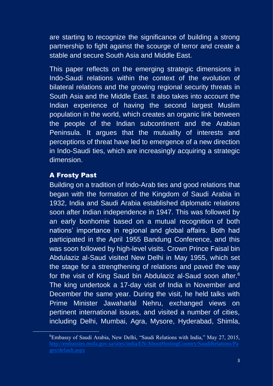are starting to recognize the significance of building a strong partnership to fight against the scourge of terror and create a stable and secure South Asia and Middle East.

This paper reflects on the emerging strategic dimensions in Indo-Saudi relations within the context of the evolution of bilateral relations and the growing regional security threats in South Asia and the Middle East. It also takes into account the Indian experience of having the second largest Muslim population in the world, which creates an organic link between the people of the Indian subcontinent and the Arabian Peninsula. It argues that the mutuality of interests and perceptions of threat have led to emergence of a new direction in Indo-Saudi ties, which are increasingly acquiring a strategic dimension.

# A Frosty Past

Building on a tradition of Indo-Arab ties and good relations that began with the formation of the Kingdom of Saudi Arabia in 1932, India and Saudi Arabia established diplomatic relations soon after Indian independence in 1947. This was followed by an early bonhomie based on a mutual recognition of both nations' importance in regional and global affairs. Both had participated in the April 1955 Bandung Conference, and this was soon followed by high-level visits. Crown Prince Faisal bin Abdulaziz al-Saud visited New Delhi in May 1955, which set the stage for a strengthening of relations and paved the way for the visit of King Saud bin Abdulaziz al-Saud soon after.<sup>6</sup> The king undertook a 17-day visit of India in November and December the same year. During the visit, he held talks with Prime Minister Jawaharlal Nehru, exchanged views on pertinent international issues, and visited a number of cities, including Delhi, Mumbai, Agra, Mysore, Hyderabad, Shimla,

<sup>6</sup>Embassy of Saudi Arabia, New Delhi, "Saudi Relations with India," May 27, 2015, [ges/default.aspx](http://embassies.mofa.gov.sa/sites/india/EN/AboutHostingCountry/SaudiRelations/Pages/default.aspx)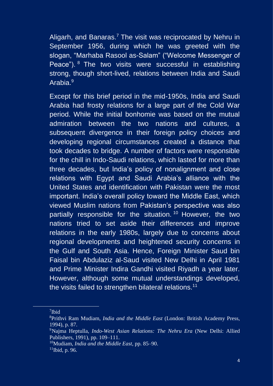Aligarh, and Banaras.<sup>7</sup> The visit was reciprocated by Nehru in September 1956, during which he was greeted with the slogan, "Marhaba Rasool as-Salam" ("Welcome Messenger of Peace"). <sup>8</sup> The two visits were successful in establishing strong, though short-lived, relations between India and Saudi Arabia.<sup>9</sup>

Except for this brief period in the mid-1950s, India and Saudi Arabia had frosty relations for a large part of the Cold War period. While the initial bonhomie was based on the mutual admiration between the two nations and cultures, a subsequent divergence in their foreign policy choices and developing regional circumstances created a distance that took decades to bridge. A number of factors were responsible for the chill in Indo-Saudi relations, which lasted for more than three decades, but India's policy of nonalignment and close relations with Egypt and Saudi Arabia's alliance with the United States and identification with Pakistan were the most important. India's overall policy toward the Middle East, which viewed Muslim nations from Pakistan's perspective was also partially responsible for the situation. <sup>10</sup> However, the two nations tried to set aside their differences and improve relations in the early 1980s, largely due to concerns about regional developments and heightened security concerns in the Gulf and South Asia. Hence, Foreign Minister Saud bin Faisal bin Abdulaziz al-Saud visited New Delhi in April 1981 and Prime Minister Indira Gandhi visited Riyadh a year later. However, although some mutual understandings developed, the visits failed to strengthen bilateral relations.<sup>11</sup>

<sup>7</sup> Ibid

<sup>8</sup>Prithvi Ram Mudiam, *India and the Middle East* (London: British Academy Press, 1994), p. 87.

<sup>9</sup>Najma Heptulla, *Indo-West Asian Relations: The Nehru Era* (New Delhi: Allied Publishers, 1991), pp. 109–111.

<sup>10</sup>Mudiam, *India and the Middle East*, pp. 85–90.

 $\frac{11}{10}$ lbid, p. 96.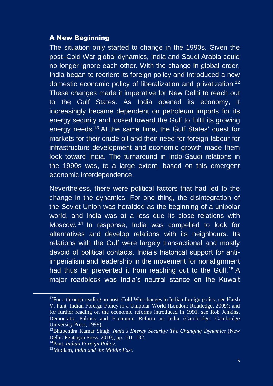# A New Beginning

The situation only started to change in the 1990s. Given the post–Cold War global dynamics, India and Saudi Arabia could no longer ignore each other. With the change in global order, India began to reorient its foreign policy and introduced a new domestic economic policy of liberalization and privatization.<sup>12</sup> These changes made it imperative for New Delhi to reach out to the Gulf States. As India opened its economy, it increasingly became dependent on petroleum imports for its energy security and looked toward the Gulf to fulfil its growing energy needs.<sup>13</sup> At the same time, the Gulf States' quest for markets for their crude oil and their need for foreign labour for infrastructure development and economic growth made them look toward India. The turnaround in Indo-Saudi relations in the 1990s was, to a large extent, based on this emergent economic interdependence.

Nevertheless, there were political factors that had led to the change in the dynamics. For one thing, the disintegration of the Soviet Union was heralded as the beginning of a unipolar world, and India was at a loss due its close relations with Moscow. <sup>14</sup> In response, India was compelled to look for alternatives and develop relations with its neighbours. Its relations with the Gulf were largely transactional and mostly devoid of political contacts. India's historical support for antiimperialism and leadership in the movement for nonalignment had thus far prevented it from reaching out to the Gulf.<sup>15</sup> A major roadblock was India's neutral stance on the Kuwait

 $12$ For a through reading on post–Cold War changes in Indian foreign policy, see Harsh V. Pant, Indian Foreign Policy in a Unipolar World (London: Routledge, 2009); and for further reading on the economic reforms introduced in 1991, see Rob Jenkins, Democratic Politics and Economic Reform in India (Cambridge: Cambridge University Press, 1999).

<sup>13</sup>Bhupendra Kumar Singh, *India's Energy Security: The Changing Dynamics* (New Delhi: Pentagon Press, 2010), pp. 101–132.

<sup>14</sup>Pant, *Indian Foreign Policy*.

<sup>15</sup>Mudiam, *India and the Middle East.*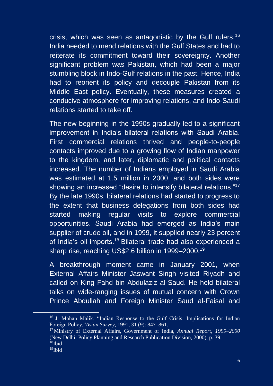crisis, which was seen as antagonistic by the Gulf rulers.<sup>16</sup> India needed to mend relations with the Gulf States and had to reiterate its commitment toward their sovereignty. Another significant problem was Pakistan, which had been a major stumbling block in Indo-Gulf relations in the past. Hence, India had to reorient its policy and decouple Pakistan from its Middle East policy. Eventually, these measures created a conducive atmosphere for improving relations, and Indo-Saudi relations started to take off.

The new beginning in the 1990s gradually led to a significant improvement in India's bilateral relations with Saudi Arabia. First commercial relations thrived and people-to-people contacts improved due to a growing flow of Indian manpower to the kingdom, and later, diplomatic and political contacts increased. The number of Indians employed in Saudi Arabia was estimated at 1.5 million in 2000, and both sides were showing an increased "desire to intensify bilateral relations."<sup>17</sup> By the late 1990s, bilateral relations had started to progress to the extent that business delegations from both sides had started making regular visits to explore commercial opportunities. Saudi Arabia had emerged as India's main supplier of crude oil, and in 1999, it supplied nearly 23 percent of India's oil imports.<sup>18</sup> Bilateral trade had also experienced a sharp rise, reaching US\$2.6 billion in 1999–2000.<sup>19</sup>

A breakthrough moment came in January 2001, when External Affairs Minister Jaswant Singh visited Riyadh and called on King Fahd bin Abdulaziz al-Saud. He held bilateral talks on wide-ranging issues of mutual concern with Crown Prince Abdullah and Foreign Minister Saud al-Faisal and

<sup>&</sup>lt;sup>16</sup> J. Mohan Malik, "Indian Response to the Gulf Crisis: Implications for Indian Foreign Policy,"*Asian Survey*, 1991, 31 (9): 847–861.

<sup>17</sup>Ministry of External Affairs, Government of India, *Annual Report, 1999–2000* (New Delhi: Policy Planning and Research Publication Division, 2000), p. 39.  $18$ Ibid

 $19$ Ibid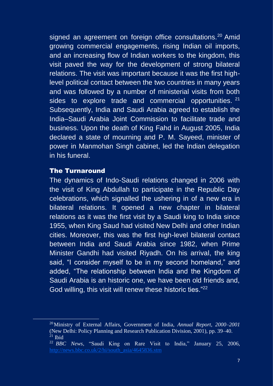signed an agreement on foreign office consultations.<sup>20</sup> Amid growing commercial engagements, rising Indian oil imports, and an increasing flow of Indian workers to the kingdom, this visit paved the way for the development of strong bilateral relations. The visit was important because it was the first highlevel political contact between the two countries in many years and was followed by a number of ministerial visits from both sides to explore trade and commercial opportunities. <sup>21</sup> Subsequently, India and Saudi Arabia agreed to establish the India–Saudi Arabia Joint Commission to facilitate trade and business. Upon the death of King Fahd in August 2005, India declared a state of mourning and P. M. Sayeed, minister of power in Manmohan Singh cabinet, led the Indian delegation in his funeral.

#### The Turnaround

The dynamics of Indo-Saudi relations changed in 2006 with the visit of King Abdullah to participate in the Republic Day celebrations, which signalled the ushering in of a new era in bilateral relations. It opened a new chapter in bilateral relations as it was the first visit by a Saudi king to India since 1955, when King Saud had visited New Delhi and other Indian cities. Moreover, this was the first high-level bilateral contact between India and Saudi Arabia since 1982, when Prime Minister Gandhi had visited Riyadh. On his arrival, the king said, "I consider myself to be in my second homeland," and added, "The relationship between India and the Kingdom of Saudi Arabia is an historic one, we have been old friends and, God willing, this visit will renew these historic ties."<sup>22</sup>

<sup>20</sup>Ministry of External Affairs, Government of India, *Annual Report, 2000–2001* (New Delhi: Policy Planning and Research Publication Division, 2001), pp. 39–40.  $^{21}$  Ibid

<sup>22</sup> *BBC News*, "Saudi King on Rare Visit to India," January 25, 2006, [http://news.bbc.co.uk/2/hi/south\\_asia/4645836.stm](http://news.bbc.co.uk/2/hi/south_asia/4645836.stm)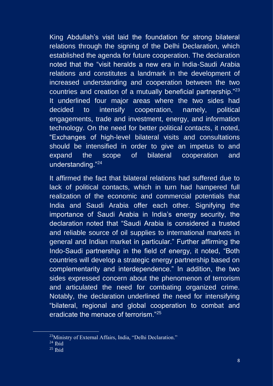King Abdullah's visit laid the foundation for strong bilateral relations through the signing of the Delhi Declaration, which established the agenda for future cooperation. The declaration noted that the "visit heralds a new era in India-Saudi Arabia relations and constitutes a landmark in the development of increased understanding and cooperation between the two countries and creation of a mutually beneficial partnership."<sup>23</sup> It underlined four major areas where the two sides had decided to intensify cooperation, namely, political engagements, trade and investment, energy, and information technology. On the need for better political contacts, it noted, "Exchanges of high-level bilateral visits and consultations should be intensified in order to give an impetus to and expand the scope of bilateral cooperation and understanding."<sup>24</sup>

It affirmed the fact that bilateral relations had suffered due to lack of political contacts, which in turn had hampered full realization of the economic and commercial potentials that India and Saudi Arabia offer each other. Signifying the importance of Saudi Arabia in India's energy security, the declaration noted that "Saudi Arabia is considered a trusted and reliable source of oil supplies to international markets in general and Indian market in particular." Further affirming the Indo-Saudi partnership in the field of energy, it noted, "Both countries will develop a strategic energy partnership based on complementarity and interdependence." In addition, the two sides expressed concern about the phenomenon of terrorism and articulated the need for combating organized crime. Notably, the declaration underlined the need for intensifying "bilateral, regional and global cooperation to combat and eradicate the menace of terrorism."<sup>25</sup>

<sup>&</sup>lt;sup>23</sup>Ministry of External Affairs, India, "Delhi Declaration."

 $24$  Ibid

 $25$  Ibid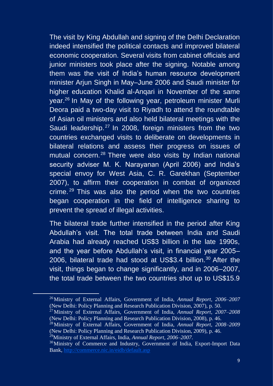The visit by King Abdullah and signing of the Delhi Declaration indeed intensified the political contacts and improved bilateral economic cooperation. Several visits from cabinet officials and junior ministers took place after the signing. Notable among them was the visit of India's human resource development minister Arjun Singh in May–June 2006 and Saudi minister for higher education Khalid al-Anqari in November of the same year.<sup>26</sup> In May of the following year, petroleum minister Murli Deora paid a two-day visit to Riyadh to attend the roundtable of Asian oil ministers and also held bilateral meetings with the Saudi leadership.<sup>27</sup> In 2008, foreign ministers from the two countries exchanged visits to deliberate on developments in bilateral relations and assess their progress on issues of mutual concern.<sup>28</sup> There were also visits by Indian national security adviser M. K. Narayanan (April 2006) and India's special envoy for West Asia, C. R. Garekhan (September 2007), to affirm their cooperation in combat of organized crime. <sup>29</sup> This was also the period when the two countries began cooperation in the field of intelligence sharing to prevent the spread of illegal activities.

The bilateral trade further intensified in the period after King Abdullah's visit. The total trade between India and Saudi Arabia had already reached US\$3 billion in the late 1990s, and the year before Abdullah's visit, in financial year 2005– 2006, bilateral trade had stood at US\$3.4 billion.<sup>30</sup> After the visit, things began to change significantly, and in 2006–2007, the total trade between the two countries shot up to US\$15.9

<sup>26</sup>Ministry of External Affairs, Government of India, *Annual Report, 2006–2007* (New Delhi: Policy Planning and Research Publication Division, 2007), p. 50.

<sup>27</sup>Ministry of External Affairs, Government of India, *Annual Report, 2007–2008* (New Delhi: Policy Planning and Research Publication Division, 2008), p. 46.

<sup>28</sup>Ministry of External Affairs, Government of India, *Annual Report, 2008–2009* (New Delhi: Policy Planning and Research Publication Division, 2009), p. 46.

<sup>29</sup>Ministry of External Affairs, India, *Annual Report, 2006–2007*.

<sup>&</sup>lt;sup>30</sup>Ministry of Commerce and Industry, Government of India, Export-Import Data Bank,<http://commerce.nic.in/eidb/default.asp>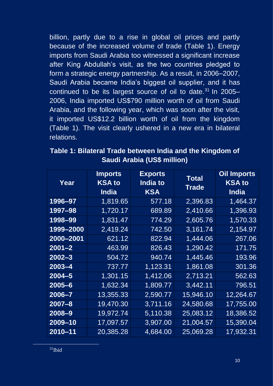billion, partly due to a rise in global oil prices and partly because of the increased volume of trade (Table 1). Energy imports from Saudi Arabia too witnessed a significant increase after King Abdullah's visit, as the two countries pledged to form a strategic energy partnership. As a result, in 2006–2007, Saudi Arabia became India's biggest oil supplier, and it has continued to be its largest source of oil to date. $31$  In 2005– 2006, India imported US\$790 million worth of oil from Saudi Arabia, and the following year, which was soon after the visit, it imported US\$12.2 billion worth of oil from the kingdom (Table 1). The visit clearly ushered in a new era in bilateral relations.

| Year       | <b>Imports</b><br><b>KSA to</b><br><b>India</b> | <b>Exports</b><br>India to<br><b>KSA</b> | Total<br>Trade | <b>Oil Imports</b><br><b>KSA to</b><br><b>India</b> |
|------------|-------------------------------------------------|------------------------------------------|----------------|-----------------------------------------------------|
| 1996–97    | 1,819.65                                        | <u>577.18</u>                            | 2,396.83       | 1,464.37                                            |
| 1997–98    | 1,720.17                                        | 689.89                                   | 2,410.66       | 1,396.93                                            |
| 1998–99    | 1,831.47                                        | 774.29                                   | 2,605.76       | 1,570.33                                            |
| 1999–2000  | 2,419.24                                        | 742.50                                   | 3,161.74       | 2,154.97                                            |
| 2000-2001  | 621.12                                          | 822.94                                   | 1,444.06       | 267.06                                              |
| $2001 - 2$ | 463.99                                          | 826.43                                   | 1,290.42       | 171.75                                              |
| $2002 - 3$ | 504.72                                          | 940.74                                   | 1,445.46       | 193.96                                              |
| $2003 - 4$ | 737.77                                          | 1,123.31                                 | 1,861.08       | 301.36                                              |
| $2004 - 5$ | 1,301.15                                        | 1,412.06                                 | 2,713.21       | 562.63                                              |
| $2005 - 6$ | 1,632.34                                        | 1,809.77                                 | 3,442.11       | 796.51                                              |
| $2006 - 7$ | 13,355.33                                       | 2,590.77                                 | 15,946.10      | 12,264.67                                           |
| $2007 - 8$ | 19,470.30                                       | 3,711.16                                 | 24,580.68      | <u>17,755.00</u>                                    |
| $2008 - 9$ | 19,972.74                                       | 5,110.38                                 | 25,083.12      | 18,386.52                                           |
| 2009-10    | 17,097.57                                       | 3,907.00                                 | 21,004.57      | 15,390.04                                           |
| 2010-11    | 20,385.28                                       | 4,684.00                                 | 25,069.28      | 17,932.31                                           |

**Table 1: Bilateral Trade between India and the Kingdom of Saudi Arabia (US\$ million)**

 $31$ Ibid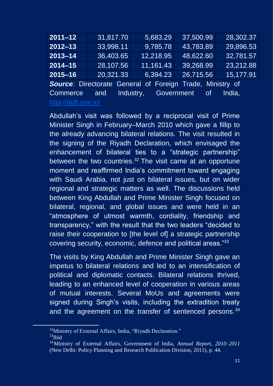| $2011 - 12$                                                      | 31,817.70 | 5,683.29  | 37,500.99 | 28,302.37 |  |  |
|------------------------------------------------------------------|-----------|-----------|-----------|-----------|--|--|
| $2012 - 13$                                                      | 33,998.11 | 9,785.78  | 43,783.89 | 29,896.53 |  |  |
| $2013 - 14$                                                      | 36,403.65 | 12,218.95 | 48,622.60 | 32,781.57 |  |  |
| $2014 - 15$                                                      | 28,107.56 | 11,161.43 | 39,268.99 | 23,212.88 |  |  |
| $2015 - 16$                                                      | 20,321.33 | 6,394.23  | 26,715.56 | 15,177.91 |  |  |
| <b>Source:</b> Directorate General of Foreign Trade, Ministry of |           |           |           |           |  |  |

Commerce and Industry, Government of India, <http://dgft.gov.in/>

Abdullah's visit was followed by a reciprocal visit of Prime Minister Singh in February–March 2010 which gave a fillip to the already advancing bilateral relations. The visit resulted in the signing of the Riyadh Declaration, which envisaged the enhancement of bilateral ties to a "strategic partnership" between the two countries. $32$  The visit came at an opportune moment and reaffirmed India's commitment toward engaging with Saudi Arabia, not just on bilateral issues, but on wider regional and strategic matters as well. The discussions held between King Abdullah and Prime Minister Singh focused on bilateral, regional, and global issues and were held in an "atmosphere of utmost warmth, cordiality, friendship and transparency," with the result that the two leaders "decided to raise their cooperation to [the level of] a strategic partnership covering security, economic, defence and political areas."<sup>33</sup>

The visits by King Abdullah and Prime Minister Singh gave an impetus to bilateral relations and led to an intensification of political and diplomatic contacts. Bilateral relations thrived, leading to an enhanced level of cooperation in various areas of mutual interests. Several MoUs and agreements were signed during Singh's visits, including the extradition treaty and the agreement on the transfer of sentenced persons.<sup>34</sup>

<sup>&</sup>lt;sup>32</sup>Ministry of External Affairs, India, "Riyadh Declaration."

 $33$ Ibid

<sup>34</sup>Ministry of External Affairs, Government of India, *Annual Report, 2010–2011* (New Delhi: Policy Planning and Research Publication Division, 2011), p. 44.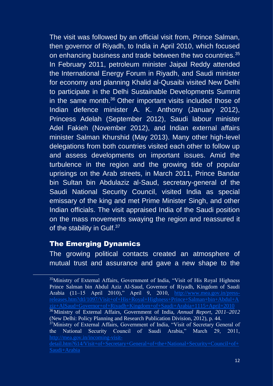The visit was followed by an official visit from, Prince Salman, then governor of Riyadh, to India in April 2010, which focused on enhancing business and trade between the two countries.<sup>35</sup> In February 2011, petroleum minister Jaipal Reddy attended the International Energy Forum in Riyadh, and Saudi minister for economy and planning Khalid al-Qusaibi visited New Delhi to participate in the Delhi Sustainable Developments Summit in the same month.<sup>36</sup> Other important visits included those of Indian defence minister A. K. Anthony (January 2012), Princess Adelah (September 2012), Saudi labour minister Adel Fakieh (November 2012), and Indian external affairs minister Salman Khurshid (May 2013). Many other high-level delegations from both countries visited each other to follow up and assess developments on important issues. Amid the turbulence in the region and the growing tide of popular uprisings on the Arab streets, in March 2011, Prince Bandar bin Sultan bin Abdulaziz al-Saud, secretary-general of the Saudi National Security Council, visited India as special emissary of the king and met Prime Minister Singh, and other Indian officials. The visit appraised India of the Saudi position on the mass movements swaying the region and reassured it of the stability in Gulf.<sup>37</sup>

# The Emerging Dynamics

The growing political contacts created an atmosphere of mutual trust and assurance and gave a new shape to the

<sup>35</sup>Ministry of External Affairs, Government of India, "Visit of His Royal Highness Prince Salman bin Abdul Aziz Al-Saud, Governor of Riyadh, Kingdom of Saudi Arabia (11–15 April 2010)," April 9, 2010, [http://www.mea.gov.in/press](http://www.mea.gov.in/press-releases.htm?dtl/1097/Visit+of+His+Royal+Highness+Prince+Salman+bin+Abdul+Aziz+AlSaud+Governor+of+Riyadh+Kingdom+of+Saudi+Arabia+1115+April+2010)[ziz+AlSaud+Governor+of+Riyadh+Kingdom+of+Saudi+Arabia+1115+April+2010](http://www.mea.gov.in/press-releases.htm?dtl/1097/Visit+of+His+Royal+Highness+Prince+Salman+bin+Abdul+Aziz+AlSaud+Governor+of+Riyadh+Kingdom+of+Saudi+Arabia+1115+April+2010) <sup>36</sup>Ministry of External Affairs, Government of India, *Annual Report, 2011–2012* (New Delhi: Policy Planning and Research Publication Division, 2012), p. 44. <sup>37</sup>Ministry of External Affairs, Government of India, "Visit of Secretary General of the National Security Council of Saudi Arabia," March 29, 2011, [http://mea.gov.in/incoming-visit](http://mea.gov.in/incoming-visit-detail.htm?614/Visit+of+Secretary+General+of+the+National+Security+Council+of+Saudi+Arabia)[detail.htm?614/Visit+of+Secretary+General+of+the+National+Security+Council+of+](http://mea.gov.in/incoming-visit-detail.htm?614/Visit+of+Secretary+General+of+the+National+Security+Council+of+Saudi+Arabia) [Saudi+Arabia](http://mea.gov.in/incoming-visit-detail.htm?614/Visit+of+Secretary+General+of+the+National+Security+Council+of+Saudi+Arabia)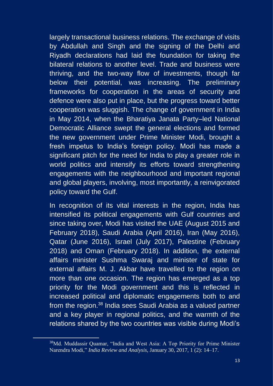largely transactional business relations. The exchange of visits by Abdullah and Singh and the signing of the Delhi and Riyadh declarations had laid the foundation for taking the bilateral relations to another level. Trade and business were thriving, and the two-way flow of investments, though far below their potential, was increasing. The preliminary frameworks for cooperation in the areas of security and defence were also put in place, but the progress toward better cooperation was sluggish. The change of government in India in May 2014, when the Bharatiya Janata Party–led National Democratic Alliance swept the general elections and formed the new government under Prime Minister Modi, brought a fresh impetus to India's foreign policy. Modi has made a significant pitch for the need for India to play a greater role in world politics and intensify its efforts toward strengthening engagements with the neighbourhood and important regional and global players, involving, most importantly, a reinvigorated policy toward the Gulf.

In recognition of its vital interests in the region, India has intensified its political engagements with Gulf countries and since taking over, Modi has visited the UAE (August 2015 and February 2018), Saudi Arabia (April 2016), Iran (May 2016), Qatar (June 2016), Israel (July 2017), Palestine (February 2018) and Oman (February 2018). In addition, the external affairs minister Sushma Swaraj and minister of state for external affairs M. J. Akbar have travelled to the region on more than one occasion. The region has emerged as a top priority for the Modi government and this is reflected in increased political and diplomatic engagements both to and from the region.<sup>38</sup> India sees Saudi Arabia as a valued partner and a key player in regional politics, and the warmth of the relations shared by the two countries was visible during Modi's

<sup>38</sup>Md. Muddassir Quamar, "India and West Asia: A Top Priority for Prime Minister Narendra Modi," *India Review and Analysis*, January 30, 2017, 1 (2): 14–17.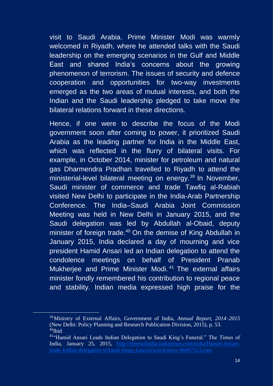visit to Saudi Arabia. Prime Minister Modi was warmly welcomed in Riyadh, where he attended talks with the Saudi leadership on the emerging scenarios in the Gulf and Middle East and shared India's concerns about the growing phenomenon of terrorism. The issues of security and defence cooperation and opportunities for two-way investments emerged as the two areas of mutual interests, and both the Indian and the Saudi leadership pledged to take move the bilateral relations forward in these directions.

Hence, if one were to describe the focus of the Modi government soon after coming to power, it prioritized Saudi Arabia as the leading partner for India in the Middle East, which was reflected in the flurry of bilateral visits. For example, in October 2014, minister for petroleum and natural gas Dharmendra Pradhan travelled to Riyadh to attend the ministerial-level bilateral meeting on energy.<sup>39</sup> In November, Saudi minister of commerce and trade Tawfiq al-Rabiah visited New Delhi to participate in the India-Arab Partnership Conference. The India–Saudi Arabia Joint Commission Meeting was held in New Delhi in January 2015, and the Saudi delegation was led by Abdullah al-Obaid, deputy minister of foreign trade. $40$  On the demise of King Abdullah in January 2015, India declared a day of mourning and vice president Hamid Ansari led an Indian delegation to attend the condolence meetings on behalf of President Pranab Mukherjee and Prime Minister Modi.<sup>41</sup> The external affairs minister fondly remembered his contribution to regional peace and stability. Indian media expressed high praise for the

<sup>39</sup>Ministry of External Affairs, Government of India, *Annual Report, 2014–2015* (New Delhi: Policy Planning and Research Publication Division, 2015), p. 53.  $40$ Ibid

<sup>&</sup>lt;sup>41</sup>"Hamid Ansari Leads Indian Delegation to Saudi King's Funeral." The Times of India, January 25, 2015, [http://timesofindia.indiatimes.com/india/Hamid-Ansari](http://timesofindia.indiatimes.com/india/Hamid-Ansari-leads-Indian-delegation-toSaudi-kings-funeral/articleshow/46007523.cms)[leads-Indian-delegation-toSaudi-kings-funeral/articleshow/46007523.cms](http://timesofindia.indiatimes.com/india/Hamid-Ansari-leads-Indian-delegation-toSaudi-kings-funeral/articleshow/46007523.cms)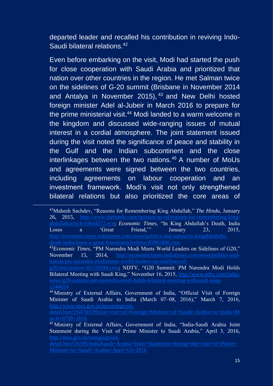departed leader and recalled his contribution in reviving Indo-Saudi bilateral relations.<sup>42</sup>

Even before embarking on the visit, Modi had started the push for close cooperation with Saudi Arabia and prioritized that nation over other countries in the region. He met Salman twice on the sidelines of G-20 summit (Brisbane in November 2014 and Antalya in November 2015), <sup>43</sup> and New Delhi hosted foreign minister Adel al-Jubeir in March 2016 to prepare for the prime ministerial visit.<sup>44</sup> Modi landed to a warm welcome in the kingdom and discussed wide-ranging issues of mutual interest in a cordial atmosphere. The joint statement issued during the visit noted the significance of peace and stability in the Gulf and the Indian subcontinent and the close interlinkages between the two nations.<sup>45</sup> A number of MoUs and agreements were signed between the two countries, including agreements on labour cooperation and an investment framework. Modi's visit not only strengthened bilateral relations but also prioritized the core areas of

<sup>42</sup>Mahesh Sachdev, "Reasons for Remembering King Abdullah," *The Hindu*, January 26, 2015, [http://www.thehindu.com/opinion/op-ed/reasons-for-remembering-king](http://www.thehindu.com/opinion/op-ed/reasons-for-remembering-king-abdullah/article10644372.ece)[abdullah/article10644372.ece;](http://www.thehindu.com/opinion/op-ed/reasons-for-remembering-king-abdullah/article10644372.ece) *Economic Times*, "In King Abdullah's Death, India Loses a 'Great Friend,'" January 23, 2015, [http://economictimes.indiatimes.com/news/politics-and-nation/in-kingabdullahs](http://economictimes.indiatimes.com/news/politics-and-nation/in-kingabdullahs-death-india-loses-a-great-friend/articleshow/45991890.cms)[death-india-loses-a-great-friend/articleshow/45991890.cms](http://economictimes.indiatimes.com/news/politics-and-nation/in-kingabdullahs-death-india-loses-a-great-friend/articleshow/45991890.cms)

<sup>43</sup>*Economic Times*, "PM Narendra Modi Meets World Leaders on Sidelines of G20," November 15, 2014, [http://economictimes.indiatimes.com/news/politics-and](http://economictimes.indiatimes.com/news/politics-and-nation/pm-narendra-modimeets-world-leaders-on-sidelines-of-g20/articleshow/45159594.cms)[nation/pm-narendra-modimeets-world-leaders-on-sidelines-of-](http://economictimes.indiatimes.com/news/politics-and-nation/pm-narendra-modimeets-world-leaders-on-sidelines-of-g20/articleshow/45159594.cms)

[g20/articleshow/45159594.cms](http://economictimes.indiatimes.com/news/politics-and-nation/pm-narendra-modimeets-world-leaders-on-sidelines-of-g20/articleshow/45159594.cms); NDTV, "G20 Summit: PM Narendra Modi Holds Bilateral Meeting with Saudi King," November 16, 2015, [http://www.ndtv.com/india](http://www.ndtv.com/india-news/g20-summit-pm-narendra-modi-holds-bilateral-meeting-withsaudi-king-1244024)[news/g20-summit-pm-narendra-modi-holds-bilateral-meeting-withsaudi-king-](http://www.ndtv.com/india-news/g20-summit-pm-narendra-modi-holds-bilateral-meeting-withsaudi-king-1244024)

<sup>&</sup>lt;sup>44</sup> Ministry of External Affairs, Government of India, "Official Visit of Foreign Minister of Saudi Arabia to India (March 07–08, 2016)," March 7, 2016, [http://www.mea.gov.in/incomingvisit-](http://www.mea.gov.in/incomingvisit-detail.htm?26478/Official+visit+of+Foreign+Minister+of+Saudi+Arabia+to+India+March+0708+2016)

<sup>&</sup>lt;sup>45</sup> Ministry of External Affairs, Government of India, "India-Saudi Arabia Joint Statement during the Visit of Prime Minister to Saudi Arabia," April 3, 2016, [http://mea.gov.in/outogingvisit-](http://mea.gov.in/outogingvisit-detail.htm?26595/IndiaSaudi+Arabia+Joint+Statement+during+the+visit+of+Prime+Minister+to+Saudi+Arabia+April+03+2016)

[detail.htm?26595/IndiaSaudi+Arabia+Joint+Statement+during+the+visit+of+Prime+](http://mea.gov.in/outogingvisit-detail.htm?26595/IndiaSaudi+Arabia+Joint+Statement+during+the+visit+of+Prime+Minister+to+Saudi+Arabia+April+03+2016) [Minister+to+Saudi+Arabia+April+03+2016](http://mea.gov.in/outogingvisit-detail.htm?26595/IndiaSaudi+Arabia+Joint+Statement+during+the+visit+of+Prime+Minister+to+Saudi+Arabia+April+03+2016)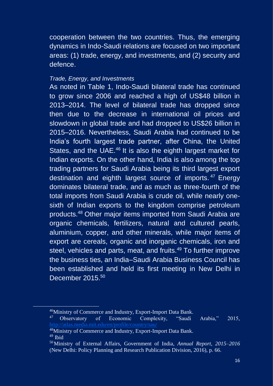cooperation between the two countries. Thus, the emerging dynamics in Indo-Saudi relations are focused on two important areas: (1) trade, energy, and investments, and (2) security and defence.

#### Trade, Energy, and Investments

As noted in Table 1, Indo-Saudi bilateral trade has continued to grow since 2006 and reached a high of US\$48 billion in 2013–2014. The level of bilateral trade has dropped since then due to the decrease in international oil prices and slowdown in global trade and had dropped to US\$26 billion in 2015–2016. Nevertheless, Saudi Arabia had continued to be India's fourth largest trade partner, after China, the United States, and the UAE.<sup>46</sup> It is also the eighth largest market for Indian exports. On the other hand, India is also among the top trading partners for Saudi Arabia being its third largest export destination and eighth largest source of imports. <sup>47</sup> Energy dominates bilateral trade, and as much as three-fourth of the total imports from Saudi Arabia is crude oil, while nearly onesixth of Indian exports to the kingdom comprise petroleum products.<sup>48</sup> Other major items imported from Saudi Arabia are organic chemicals, fertilizers, natural and cultured pearls, aluminium, copper, and other minerals, while major items of export are cereals, organic and inorganic chemicals, iron and steel, vehicles and parts, meat, and fruits.<sup>49</sup> To further improve the business ties, an India–Saudi Arabia Business Council has been established and held its first meeting in New Delhi in December 2015.<sup>50</sup>

<sup>&</sup>lt;sup>46</sup>Ministry of Commerce and Industry, Export-Import Data Bank.<br><sup>47</sup> Observatory of Economic Complexity, "Saudi of Economic Complexity, "Saudi Arabia," 2015,

<sup>48</sup>Ministry of Commerce and Industry, Export-Import Data Bank.  $49$  Ibid

<sup>50</sup>Ministry of External Affairs, Government of India, *Annual Report, 2015–2016* (New Delhi: Policy Planning and Research Publication Division, 2016), p. 66.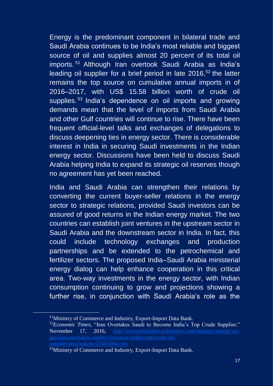Energy is the predominant component in bilateral trade and Saudi Arabia continues to be India's most reliable and biggest source of oil and supplies almost 20 percent of its total oil imports. <sup>51</sup> Although Iran overtook Saudi Arabia as India's leading oil supplier for a brief period in late  $2016$ ,  $52$  the latter remains the top source on cumulative annual imports in of 2016–2017, with US\$ 15.58 billion worth of crude oil supplies.<sup>53</sup> India's dependence on oil imports and growing demands mean that the level of imports from Saudi Arabia and other Gulf countries will continue to rise. There have been frequent official-level talks and exchanges of delegations to discuss deepening ties in energy sector. There is considerable interest in India in securing Saudi investments in the Indian energy sector. Discussions have been held to discuss Saudi Arabia helping India to expand its strategic oil reserves though no agreement has yet been reached.

India and Saudi Arabia can strengthen their relations by converting the current buyer-seller relations in the energy sector to strategic relations, provided Saudi investors can be assured of good returns in the Indian energy market. The two countries can establish joint ventures in the upstream sector in Saudi Arabia and the downstream sector in India. In fact, this could include technology exchanges and production partnerships and be extended to the petrochemical and fertilizer sectors. The proposed India–Saudi Arabia ministerial energy dialog can help enhance cooperation in this critical area. Two-way investments in the energy sector, with Indian consumption continuing to grow and projections showing a further rise, in conjunction with Saudi Arabia's role as the

<sup>51</sup>Ministry of Commerce and Industry, Export-Import Data Bank.

<sup>52</sup>*Economic Times*, "Iran Overtakes Saudi to Become India's Top Crude Supplier," November 17, 2016, [http://economictimes.indiatimes.com/industry/energy/oil](http://economictimes.indiatimes.com/industry/energy/oil-gas/iran-overtakes-saudito-becomes-indias-top-crude-oil-supplier/articleshow/55481064.cms)[gas/iran-overtakes-saudito-becomes-indias-top-crude-oil](http://economictimes.indiatimes.com/industry/energy/oil-gas/iran-overtakes-saudito-becomes-indias-top-crude-oil-supplier/articleshow/55481064.cms)[supplier/articleshow/55481064.cms](http://economictimes.indiatimes.com/industry/energy/oil-gas/iran-overtakes-saudito-becomes-indias-top-crude-oil-supplier/articleshow/55481064.cms)

<sup>&</sup>lt;sup>53</sup>Ministry of Commerce and Industry, Export-Import Data Bank.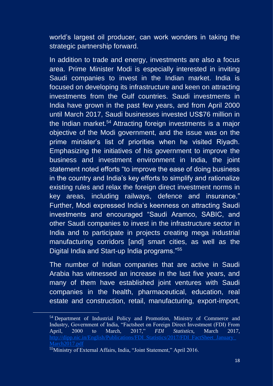world's largest oil producer, can work wonders in taking the strategic partnership forward.

In addition to trade and energy, investments are also a focus area. Prime Minister Modi is especially interested in inviting Saudi companies to invest in the Indian market. India is focused on developing its infrastructure and keen on attracting investments from the Gulf countries. Saudi investments in India have grown in the past few years, and from April 2000 until March 2017, Saudi businesses invested US\$76 million in the Indian market.<sup>54</sup> Attracting foreign investments is a major objective of the Modi government, and the issue was on the prime minister's list of priorities when he visited Riyadh. Emphasizing the initiatives of his government to improve the business and investment environment in India, the joint statement noted efforts "to improve the ease of doing business in the country and India's key efforts to simplify and rationalize existing rules and relax the foreign direct investment norms in key areas, including railways, defence and insurance." Further, Modi expressed India's keenness on attracting Saudi investments and encouraged "Saudi Aramco, SABIC, and other Saudi companies to invest in the infrastructure sector in India and to participate in projects creating mega industrial manufacturing corridors [and] smart cities, as well as the Digital India and Start-up India programs."<sup>55</sup>

The number of Indian companies that are active in Saudi Arabia has witnessed an increase in the last five years, and many of them have established joint ventures with Saudi companies in the health, pharmaceutical, education, real estate and construction, retail, manufacturing, export-import,

<sup>&</sup>lt;sup>54</sup> Department of Industrial Policy and Promotion, Ministry of Commerce and Industry, Government of India, "Factsheet on Foreign Direct Investment (FDI) From April, 2000 to March, 2017," *FDI Statistics*, March 2017, [http://dipp.nic.in/English/Publications/FDI\\_Statistics/2017/FDI\\_FactSheet\\_January\\_](http://dipp.nic.in/English/Publications/FDI_Statistics/2017/FDI_FactSheet_January_March2017.pdf) [March2017.pdf](http://dipp.nic.in/English/Publications/FDI_Statistics/2017/FDI_FactSheet_January_March2017.pdf)

<sup>55</sup>Ministry of External Affairs, India, "Joint Statement," April 2016.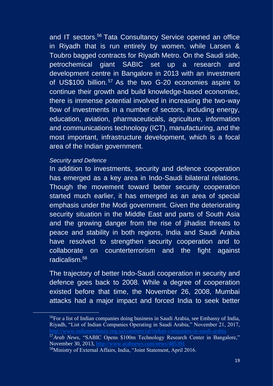and IT sectors.<sup>56</sup> Tata Consultancy Service opened an office in Riyadh that is run entirely by women, while Larsen & Toubro bagged contracts for Riyadh Metro. On the Saudi side, petrochemical giant SABIC set up a research and development centre in Bangalore in 2013 with an investment of US\$100 billion.<sup>57</sup> As the two G-20 economies aspire to continue their growth and build knowledge-based economies, there is immense potential involved in increasing the two-way flow of investments in a number of sectors, including energy, education, aviation, pharmaceuticals, agriculture, information and communications technology (ICT), manufacturing, and the most important, infrastructure development, which is a focal area of the Indian government.

#### Security and Defence

In addition to investments, security and defence cooperation has emerged as a key area in Indo-Saudi bilateral relations. Though the movement toward better security cooperation started much earlier, it has emerged as an area of special emphasis under the Modi government. Given the deteriorating security situation in the Middle East and parts of South Asia and the growing danger from the rise of jihadist threats to peace and stability in both regions, India and Saudi Arabia have resolved to strengthen security cooperation and to collaborate on counterterrorism and the fight against radicalism.<sup>58</sup>

The trajectory of better Indo-Saudi cooperation in security and defence goes back to 2008. While a degree of cooperation existed before that time, the November 26, 2008, Mumbai attacks had a major impact and forced India to seek better

<sup>56</sup>For a list of Indian companies doing business in Saudi Arabia, see Embassy of India, Riyadh, "List of Indian Companies Operating in Saudi Arabia," November 21, 2017, <sup>57</sup>Arab News, "SABIC Opens \$100m Technology Research Center in Bangalore,"

November 30, 2013,<http://www.arabnews.com/news/485391>

<sup>58</sup>Ministry of External Affairs, India, "Joint Statement, April 2016.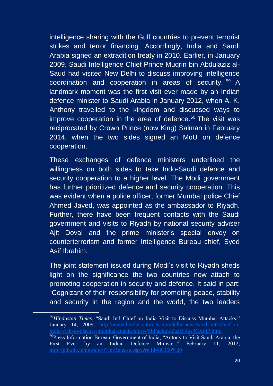intelligence sharing with the Gulf countries to prevent terrorist strikes and terror financing. Accordingly, India and Saudi Arabia signed an extradition treaty in 2010. Earlier, in January 2009, Saudi Intelligence Chief Prince Muqrin bin Abdulaziz al-Saud had visited New Delhi to discuss improving intelligence coordination and cooperation in areas of security. <sup>59</sup> A landmark moment was the first visit ever made by an Indian defence minister to Saudi Arabia in January 2012, when A. K. Anthony travelled to the kingdom and discussed ways to improve cooperation in the area of defence. <sup>60</sup> The visit was reciprocated by Crown Prince (now King) Salman in February 2014, when the two sides signed an MoU on defence cooperation.

These exchanges of defence ministers underlined the willingness on both sides to take Indo-Saudi defence and security cooperation to a higher level. The Modi government has further prioritized defence and security cooperation. This was evident when a police officer, former Mumbai police Chief Ahmed Javed, was appointed as the ambassador to Riyadh. Further, there have been frequent contacts with the Saudi government and visits to Riyadh by national security adviser Ajit Doval and the prime minister's special envoy on counterterrorism and former Intelligence Bureau chief, Syed Asif Ibrahim.

The joint statement issued during Modi's visit to Riyadh sheds light on the significance the two countries now attach to promoting cooperation in security and defence. It said in part: "Cognizant of their responsibility for promoting peace, stability and security in the region and the world, the two leaders

<sup>59</sup>*Hindustan Times*, "Saudi Intl Chief on India Visit to Discuss Mumbai Attacks," January 14, 2009, [http://www.hindustantimes.com/delhi-news/saudi-intl-chief-on-](http://www.hindustantimes.com/delhi-news/saudi-intl-chief-on-india-visit-to-discuss-mumbai-attacks/story-YbFaakgwZazDl4us9CX6iP.html) $60$ Press Information Bureau, Government of India, "Antony to Visit Saudi Arabia, the First Ever by an Indian Defence Minister," February 11, 2012, <http://pib.nic.in/newsite/PrintRelease.aspx?relid=80260%20>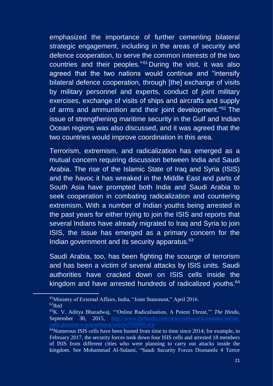emphasized the importance of further cementing bilateral strategic engagement, including in the areas of security and defence cooperation, to serve the common interests of the two countries and their peoples."<sup>61</sup> During the visit, it was also agreed that the two nations would continue and "intensify bilateral defence cooperation, through [the] exchange of visits by military personnel and experts, conduct of joint military exercises, exchange of visits of ships and aircrafts and supply of arms and ammunition and their joint development."<sup>62</sup> The issue of strengthening maritime security in the Gulf and Indian Ocean regions was also discussed, and it was agreed that the two countries would improve coordination in this area.

Terrorism, extremism, and radicalization has emerged as a mutual concern requiring discussion between India and Saudi Arabia. The rise of the Islamic State of Iraq and Syria (ISIS) and the havoc it has wreaked in the Middle East and parts of South Asia have prompted both India and Saudi Arabia to seek cooperation in combating radicalization and countering extremism. With a number of Indian youths being arrested in the past years for either trying to join the ISIS and reports that several Indians have already migrated to Irag and Syria to join ISIS, the issue has emerged as a primary concern for the Indian government and its security apparatus.<sup>63</sup>

Saudi Arabia, too, has been fighting the scourge of terrorism and has been a victim of several attacks by ISIS units. Saudi authorities have cracked down on ISIS cells inside the kingdom and have arrested hundreds of radicalized youths.<sup>64</sup>

<sup>61</sup>Ministry of External Affairs, India, "Joint Statement," April 2016.  $62$ Ibid

<sup>63</sup>K. V. Aditya Bharadwaj, "'Online Radicalisation, A Potent Threat,'" *The Hindu*, September 30, 2015, [http://www.thehindu.com/news/national/karnataka/online](http://www.thehindu.com/news/national/karnataka/online-radicalisation-a-potentthreat/article7705702.ece)[radicalisation-a-potentthreat/article7705702.ece](http://www.thehindu.com/news/national/karnataka/online-radicalisation-a-potentthreat/article7705702.ece)

 $64$ Numerous ISIS cells have been busted from time to time since 2014; for example, in February 2017, the security forces took down four ISIS cells and arrested 18 members of ISIS from different cities who were planning to carry out attacks inside the kingdom. See Mohammad Al-Sulami, "Saudi Security Forces Dismantle 4 Terror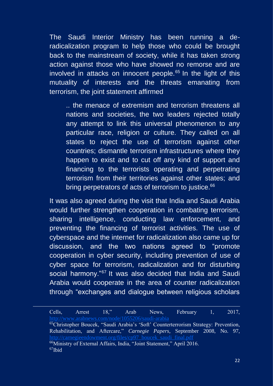The Saudi Interior Ministry has been running a deradicalization program to help those who could be brought back to the mainstream of society, while it has taken strong action against those who have showed no remorse and are involved in attacks on innocent people. $65$  In the light of this mutuality of interests and the threats emanating from terrorism, the joint statement affirmed

.. the menace of extremism and terrorism threatens all nations and societies, the two leaders rejected totally any attempt to link this universal phenomenon to any particular race, religion or culture. They called on all states to reject the use of terrorism against other countries; dismantle terrorism infrastructures where they happen to exist and to cut off any kind of support and financing to the terrorists operating and perpetrating terrorism from their territories against other states; and bring perpetrators of acts of terrorism to justice.<sup>66</sup>

It was also agreed during the visit that India and Saudi Arabia would further strengthen cooperation in combating terrorism, sharing intelligence, conducting law enforcement, and preventing the financing of terrorist activities. The use of cyberspace and the internet for radicalization also came up for discussion, and the two nations agreed to "promote cooperation in cyber security, including prevention of use of cyber space for terrorism, radicalization and for disturbing social harmony."<sup>67</sup> It was also decided that India and Saudi Arabia would cooperate in the area of counter radicalization through "exchanges and dialogue between religious scholars

Cells, Arrest 18," Arab News, February 1, 2017, <http://www.arabnews.com/node/1055206/saudi-arabia>

<sup>65</sup>Christopher Boucek, "Saudi Arabia's 'Soft' Counterterrorism Strategy: Prevention, Rehabilitation, and Aftercare," *Carnegie Papers*, September 2008, No. 97, [http://carnegieendowment.org/files/cp97\\_boucek\\_saudi\\_final.pdf](http://carnegieendowment.org/files/cp97_boucek_saudi_final.pdf) <sup>66</sup>Ministry of External Affairs, India, "Joint Statement," April 2016. <sup>67</sup>Ibid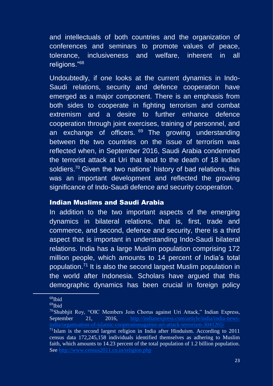and intellectuals of both countries and the organization of conferences and seminars to promote values of peace, tolerance, inclusiveness and welfare, inherent in all religions."<sup>68</sup>

Undoubtedly, if one looks at the current dynamics in Indo-Saudi relations, security and defence cooperation have emerged as a major component. There is an emphasis from both sides to cooperate in fighting terrorism and combat extremism and a desire to further enhance defence cooperation through joint exercises, training of personnel, and an exchange of officers.  $69$  The growing understanding between the two countries on the issue of terrorism was reflected when, in September 2016, Saudi Arabia condemned the terrorist attack at Uri that lead to the death of 18 Indian soldiers.<sup>70</sup> Given the two nations' history of bad relations, this was an important development and reflected the growing significance of Indo-Saudi defence and security cooperation.

#### Indian Muslims and Saudi Arabia

In addition to the two important aspects of the emerging dynamics in bilateral relations, that is, first, trade and commerce, and second, defence and security, there is a third aspect that is important in understanding Indo-Saudi bilateral relations. India has a large Muslim population comprising 172 million people, which amounts to 14 percent of India's total population.<sup>71</sup> It is also the second largest Muslim population in the world after Indonesia. Scholars have argued that this demographic dynamics has been crucial in foreign policy

 $68$ Ibid

<sup>69</sup>Ibid

 $70$ Shubhjit Roy, "OIC Members Join Chorus against Uri Attack," Indian Express, September 21, 2016, [http://indianexpress.com/article/india/india-news](http://indianexpress.com/article/india/india-news-india/organisation-of-islamic-cooperationagainst-uri-attack-terrorism-3041265/)[india/organisation-of-islamic-cooperationagainst-uri-attack-terrorism-3041265/](http://indianexpress.com/article/india/india-news-india/organisation-of-islamic-cooperationagainst-uri-attack-terrorism-3041265/)

 $71$ Islam is the second largest religion in India after Hinduism. According to 2011 census data 172,245,158 individuals identified themselves as adhering to Muslim faith, which amounts to 14.23 percent of the total population of 1.2 billion population. See<http://www.census2011.co.in/religion.php>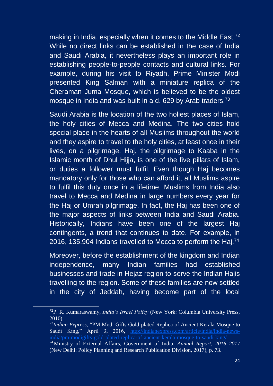making in India, especially when it comes to the Middle East.<sup>72</sup> While no direct links can be established in the case of India and Saudi Arabia, it nevertheless plays an important role in establishing people-to-people contacts and cultural links. For example, during his visit to Riyadh, Prime Minister Modi presented King Salman with a miniature replica of the Cheraman Juma Mosque, which is believed to be the oldest mosque in India and was built in a.d. 629 by Arab traders.<sup>73</sup>

Saudi Arabia is the location of the two holiest places of Islam, the holy cities of Mecca and Medina. The two cities hold special place in the hearts of all Muslims throughout the world and they aspire to travel to the holy cities, at least once in their lives, on a pilgrimage. Haj, the pilgrimage to Kaaba in the Islamic month of Dhul Hijja, is one of the five pillars of Islam, or duties a follower must fulfil. Even though Haj becomes mandatory only for those who can afford it, all Muslims aspire to fulfil this duty once in a lifetime. Muslims from India also travel to Mecca and Medina in large numbers every year for the Haj or Umrah pilgrimage. In fact, the Haj has been one of the major aspects of links between India and Saudi Arabia. Historically, Indians have been one of the largest Haj contingents, a trend that continues to date. For example, in 2016, 135,904 Indians travelled to Mecca to perform the Haj.<sup>74</sup>

Moreover, before the establishment of the kingdom and Indian independence, many Indian families had established businesses and trade in Hejaz region to serve the Indian Hajis travelling to the region. Some of these families are now settled in the city of Jeddah, having become part of the local

<sup>72</sup>P. R. Kumaraswamy, *India's Israel Policy* (New York: Columbia University Press, 2010).

<sup>73</sup>*Indian Express*, "PM Modi Gifts Gold-plated Replica of Ancient Kerala Mosque to Saudi King," April 3, 2016, [http://indianexpress.com/article/india/india-news](http://indianexpress.com/article/india/india-news-india/pm-modigifts-gold-plated-replica-of-ancient-kerala-mosque-to-saudi-king/)[india/pm-modigifts-gold-plated-replica-of-ancient-kerala-mosque-to-saudi-king/](http://indianexpress.com/article/india/india-news-india/pm-modigifts-gold-plated-replica-of-ancient-kerala-mosque-to-saudi-king/) <sup>74</sup>Ministry of External Affairs, Government of India, *Annual Report, 2016–2017* (New Delhi: Policy Planning and Research Publication Division, 2017), p. 73.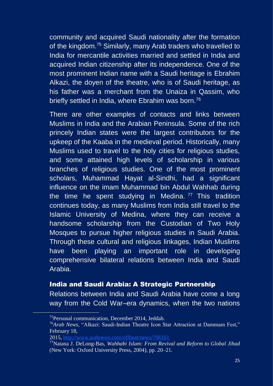community and acquired Saudi nationality after the formation of the kingdom.<sup>75</sup> Similarly, many Arab traders who travelled to India for mercantile activities married and settled in India and acquired Indian citizenship after its independence. One of the most prominent Indian name with a Saudi heritage is Ebrahim Alkazi, the doyen of the theatre, who is of Saudi heritage, as his father was a merchant from the Unaiza in Qassim, who briefly settled in India, where Ebrahim was born.<sup>76</sup>

There are other examples of contacts and links between Muslims in India and the Arabian Peninsula. Some of the rich princely Indian states were the largest contributors for the upkeep of the Kaaba in the medieval period. Historically, many Muslims used to travel to the holy cities for religious studies, and some attained high levels of scholarship in various branches of religious studies. One of the most prominent scholars, Muhammad Hayat al-Sindhi, had a significant influence on the imam Muhammad bin Abdul Wahhab during the time he spent studying in Medina.  $77$  This tradition continues today, as many Muslims from India still travel to the Islamic University of Medina, where they can receive a handsome scholarship from the Custodian of Two Holy Mosques to pursue higher religious studies in Saudi Arabia. Through these cultural and religious linkages, Indian Muslims have been playing an important role in developing comprehensive bilateral relations between India and Saudi Arabia.

#### India and Saudi Arabia: A Strategic Partnership

Relations between India and Saudi Arabia have come a long way from the Cold War–era dynamics, when the two nations

<sup>75</sup>Personal communication, December 2014, Jeddah.

<sup>76</sup>*Arab News*, "Alkazi: Saudi-Indian Theatre Icon Star Attraction at Dammam Fest," February 18,

<sup>2015,</sup><http://www.arabnews.com/offbeat/news/706161>

<sup>77</sup>Natana J. DeLong-Bas, *Wahhabi Islam: From Revival and Reform to Global Jihad* (New York: Oxford University Press, 2004), pp. 20–21.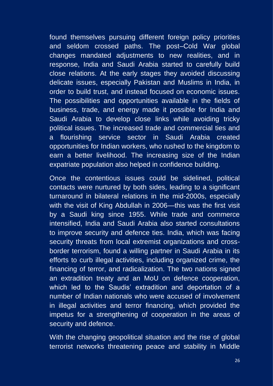found themselves pursuing different foreign policy priorities and seldom crossed paths. The post–Cold War global changes mandated adjustments to new realities, and in response, India and Saudi Arabia started to carefully build close relations. At the early stages they avoided discussing delicate issues, especially Pakistan and Muslims in India, in order to build trust, and instead focused on economic issues. The possibilities and opportunities available in the fields of business, trade, and energy made it possible for India and Saudi Arabia to develop close links while avoiding tricky political issues. The increased trade and commercial ties and a flourishing service sector in Saudi Arabia created opportunities for Indian workers, who rushed to the kingdom to earn a better livelihood. The increasing size of the Indian expatriate population also helped in confidence building.

Once the contentious issues could be sidelined, political contacts were nurtured by both sides, leading to a significant turnaround in bilateral relations in the mid-2000s, especially with the visit of King Abdullah in 2006—this was the first visit by a Saudi king since 1955. While trade and commerce intensified, India and Saudi Arabia also started consultations to improve security and defence ties. India, which was facing security threats from local extremist organizations and crossborder terrorism, found a willing partner in Saudi Arabia in its efforts to curb illegal activities, including organized crime, the financing of terror, and radicalization. The two nations signed an extradition treaty and an MoU on defence cooperation, which led to the Saudis' extradition and deportation of a number of Indian nationals who were accused of involvement in illegal activities and terror financing, which provided the impetus for a strengthening of cooperation in the areas of security and defence.

With the changing geopolitical situation and the rise of global terrorist networks threatening peace and stability in Middle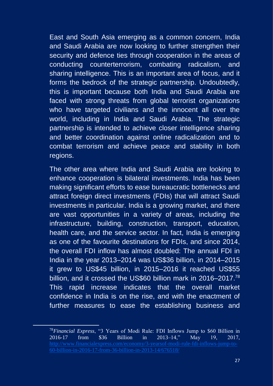East and South Asia emerging as a common concern, India and Saudi Arabia are now looking to further strengthen their security and defence ties through cooperation in the areas of conducting counterterrorism, combating radicalism, and sharing intelligence. This is an important area of focus, and it forms the bedrock of the strategic partnership. Undoubtedly, this is important because both India and Saudi Arabia are faced with strong threats from global terrorist organizations who have targeted civilians and the innocent all over the world, including in India and Saudi Arabia. The strategic partnership is intended to achieve closer intelligence sharing and better coordination against online radicalization and to combat terrorism and achieve peace and stability in both regions.

The other area where India and Saudi Arabia are looking to enhance cooperation is bilateral investments. India has been making significant efforts to ease bureaucratic bottlenecks and attract foreign direct investments (FDIs) that will attract Saudi investments in particular. India is a growing market, and there are vast opportunities in a variety of areas, including the infrastructure, building, construction, transport, education, health care, and the service sector. In fact, India is emerging as one of the favourite destinations for FDIs, and since 2014, the overall FDI inflow has almost doubled: The annual FDI in India in the year 2013–2014 was US\$36 billion, in 2014–2015 it grew to US\$45 billion, in 2015–2016 it reached US\$55 billion, and it crossed the US\$60 billion mark in 2016–2017.<sup>78</sup> This rapid increase indicates that the overall market confidence in India is on the rise, and with the enactment of further measures to ease the establishing business and

<sup>78</sup>*Financial Express*, "3 Years of Modi Rule: FDI Inflows Jump to \$60 Billion in 2016-17 from \$36 Billion in 2013–14," May 19, 2017, [http://www.financialexpress.com/economy/3-yearsof-modi-rule-fdi-inflows-jump-to-](http://www.financialexpress.com/economy/3-yearsof-modi-rule-fdi-inflows-jump-to-60-billion-in-2016-17-from-36-billion-in-2013-14/676518/)[60-billion-in-2016-17-from-36-billion-in-2013-14/676518/](http://www.financialexpress.com/economy/3-yearsof-modi-rule-fdi-inflows-jump-to-60-billion-in-2016-17-from-36-billion-in-2013-14/676518/)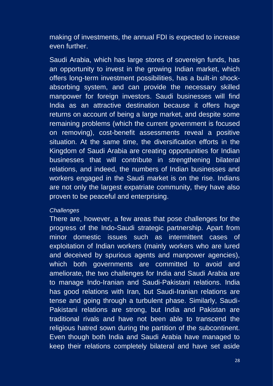making of investments, the annual FDI is expected to increase even further.

Saudi Arabia, which has large stores of sovereign funds, has an opportunity to invest in the growing Indian market, which offers long-term investment possibilities, has a built-in shockabsorbing system, and can provide the necessary skilled manpower for foreign investors. Saudi businesses will find India as an attractive destination because it offers huge returns on account of being a large market, and despite some remaining problems (which the current government is focused on removing), cost-benefit assessments reveal a positive situation. At the same time, the diversification efforts in the Kingdom of Saudi Arabia are creating opportunities for Indian businesses that will contribute in strengthening bilateral relations, and indeed, the numbers of Indian businesses and workers engaged in the Saudi market is on the rise. Indians are not only the largest expatriate community, they have also proven to be peaceful and enterprising.

#### **Challenges**

There are, however, a few areas that pose challenges for the progress of the Indo-Saudi strategic partnership. Apart from minor domestic issues such as intermittent cases of exploitation of Indian workers (mainly workers who are lured and deceived by spurious agents and manpower agencies), which both governments are committed to avoid and ameliorate, the two challenges for India and Saudi Arabia are to manage Indo-Iranian and Saudi-Pakistani relations. India has good relations with Iran, but Saudi-Iranian relations are tense and going through a turbulent phase. Similarly, Saudi-Pakistani relations are strong, but India and Pakistan are traditional rivals and have not been able to transcend the religious hatred sown during the partition of the subcontinent. Even though both India and Saudi Arabia have managed to keep their relations completely bilateral and have set aside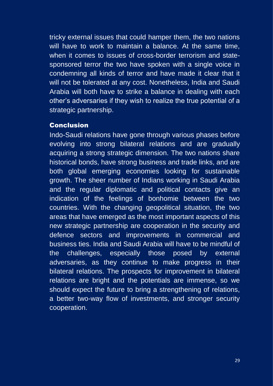tricky external issues that could hamper them, the two nations will have to work to maintain a balance. At the same time, when it comes to issues of cross-border terrorism and statesponsored terror the two have spoken with a single voice in condemning all kinds of terror and have made it clear that it will not be tolerated at any cost. Nonetheless, India and Saudi Arabia will both have to strike a balance in dealing with each other's adversaries if they wish to realize the true potential of a strategic partnership.

#### Conclusion

Indo-Saudi relations have gone through various phases before evolving into strong bilateral relations and are gradually acquiring a strong strategic dimension. The two nations share historical bonds, have strong business and trade links, and are both global emerging economies looking for sustainable growth. The sheer number of Indians working in Saudi Arabia and the regular diplomatic and political contacts give an indication of the feelings of bonhomie between the two countries. With the changing geopolitical situation, the two areas that have emerged as the most important aspects of this new strategic partnership are cooperation in the security and defence sectors and improvements in commercial and business ties. India and Saudi Arabia will have to be mindful of the challenges, especially those posed by external adversaries, as they continue to make progress in their bilateral relations. The prospects for improvement in bilateral relations are bright and the potentials are immense, so we should expect the future to bring a strengthening of relations, a better two-way flow of investments, and stronger security cooperation.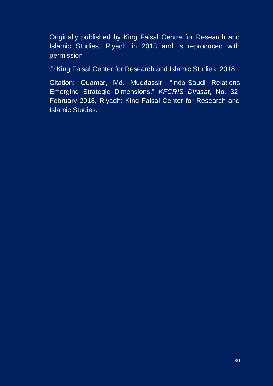Originally published by King Faisal Centre for Research and Islamic Studies, Riyadh in 2018 and is reproduced with permission

© King Faisal Center for Research and Islamic Studies, 2018

Citation: Quamar, Md. Muddassir, "Indo-Saudi Relations Emerging Strategic Dimensions," KFCRIS Dirasat, No. 32, February 2018, Riyadh: King Faisal Center for Research and Islamic Studies.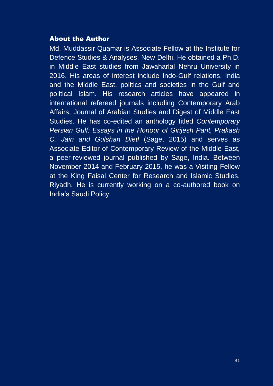#### About the Author

Md. Muddassir Quamar is Associate Fellow at the Institute for Defence Studies & Analyses, New Delhi. He obtained a Ph.D. in Middle East studies from Jawaharlal Nehru University in 2016. His areas of interest include Indo-Gulf relations, India and the Middle East, politics and societies in the Gulf and political Islam. His research articles have appeared in international refereed journals including Contemporary Arab Affairs, Journal of Arabian Studies and Digest of Middle East Studies. He has co-edited an anthology titled Contemporary Persian Gulf: Essays in the Honour of Girijesh Pant, Prakash C. Jain and Gulshan Dietl (Sage, 2015) and serves as Associate Editor of Contemporary Review of the Middle East, a peer-reviewed journal published by Sage, India. Between November 2014 and February 2015, he was a Visiting Fellow at the King Faisal Center for Research and Islamic Studies, Riyadh. He is currently working on a co-authored book on India's Saudi Policy.